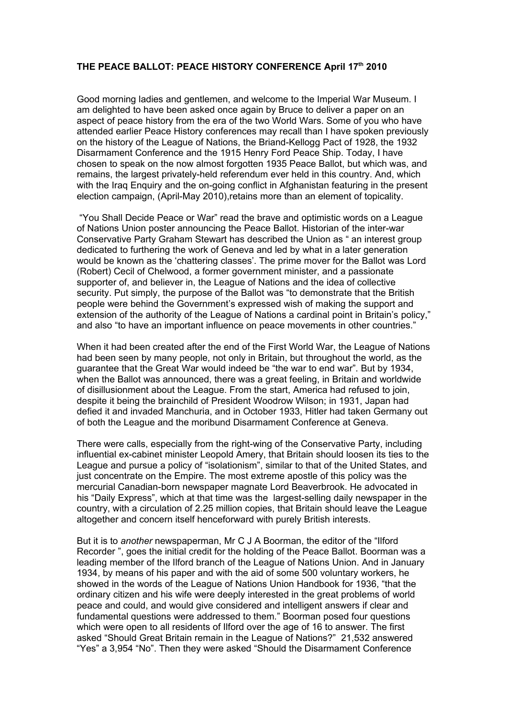## **THE PEACE BALLOT: PEACE HISTORY CONFERENCE April 17th 2010**

Good morning ladies and gentlemen, and welcome to the Imperial War Museum. I am delighted to have been asked once again by Bruce to deliver a paper on an aspect of peace history from the era of the two World Wars. Some of you who have attended earlier Peace History conferences may recall than I have spoken previously on the history of the League of Nations, the Briand-Kellogg Pact of 1928, the 1932 Disarmament Conference and the 1915 Henry Ford Peace Ship. Today, I have chosen to speak on the now almost forgotten 1935 Peace Ballot, but which was, and remains, the largest privately-held referendum ever held in this country. And, which with the Iraq Enquiry and the on-going conflict in Afghanistan featuring in the present election campaign, (April-May 2010),retains more than an element of topicality.

 "You Shall Decide Peace or War" read the brave and optimistic words on a League of Nations Union poster announcing the Peace Ballot. Historian of the inter-war Conservative Party Graham Stewart has described the Union as " an interest group dedicated to furthering the work of Geneva and led by what in a later generation would be known as the 'chattering classes'. The prime mover for the Ballot was Lord (Robert) Cecil of Chelwood, a former government minister, and a passionate supporter of, and believer in, the League of Nations and the idea of collective security. Put simply, the purpose of the Ballot was "to demonstrate that the British people were behind the Government's expressed wish of making the support and extension of the authority of the League of Nations a cardinal point in Britain's policy," and also "to have an important influence on peace movements in other countries."

When it had been created after the end of the First World War, the League of Nations had been seen by many people, not only in Britain, but throughout the world, as the guarantee that the Great War would indeed be "the war to end war". But by 1934, when the Ballot was announced, there was a great feeling, in Britain and worldwide of disillusionment about the League. From the start, America had refused to join, despite it being the brainchild of President Woodrow Wilson; in 1931, Japan had defied it and invaded Manchuria, and in October 1933, Hitler had taken Germany out of both the League and the moribund Disarmament Conference at Geneva.

There were calls, especially from the right-wing of the Conservative Party, including influential ex-cabinet minister Leopold Amery, that Britain should loosen its ties to the League and pursue a policy of "isolationism", similar to that of the United States, and just concentrate on the Empire. The most extreme apostle of this policy was the mercurial Canadian-born newspaper magnate Lord Beaverbrook. He advocated in his "Daily Express", which at that time was the largest-selling daily newspaper in the country, with a circulation of 2.25 million copies, that Britain should leave the League altogether and concern itself henceforward with purely British interests.

But it is to *another* newspaperman, Mr C J A Boorman, the editor of the "Ilford Recorder ", goes the initial credit for the holding of the Peace Ballot. Boorman was a leading member of the Ilford branch of the League of Nations Union. And in January 1934, by means of his paper and with the aid of some 500 voluntary workers, he showed in the words of the League of Nations Union Handbook for 1936, "that the ordinary citizen and his wife were deeply interested in the great problems of world peace and could, and would give considered and intelligent answers if clear and fundamental questions were addressed to them." Boorman posed four questions which were open to all residents of Ilford over the age of 16 to answer. The first asked "Should Great Britain remain in the League of Nations?" 21,532 answered "Yes" a 3,954 "No". Then they were asked "Should the Disarmament Conference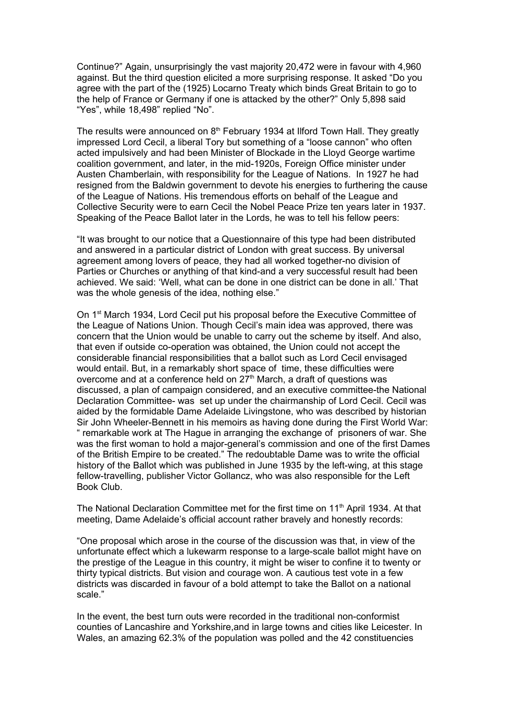Continue?" Again, unsurprisingly the vast majority 20,472 were in favour with 4,960 against. But the third question elicited a more surprising response. It asked "Do you agree with the part of the (1925) Locarno Treaty which binds Great Britain to go to the help of France or Germany if one is attacked by the other?" Only 5,898 said "Yes", while 18,498" replied "No".

The results were announced on 8<sup>th</sup> February 1934 at Ilford Town Hall. They greatly impressed Lord Cecil, a liberal Tory but something of a "loose cannon" who often acted impulsively and had been Minister of Blockade in the Lloyd George wartime coalition government, and later, in the mid-1920s, Foreign Office minister under Austen Chamberlain, with responsibility for the League of Nations. In 1927 he had resigned from the Baldwin government to devote his energies to furthering the cause of the League of Nations. His tremendous efforts on behalf of the League and Collective Security were to earn Cecil the Nobel Peace Prize ten years later in 1937. Speaking of the Peace Ballot later in the Lords, he was to tell his fellow peers:

"It was brought to our notice that a Questionnaire of this type had been distributed and answered in a particular district of London with great success. By universal agreement among lovers of peace, they had all worked together-no division of Parties or Churches or anything of that kind-and a very successful result had been achieved. We said: 'Well, what can be done in one district can be done in all.' That was the whole genesis of the idea, nothing else."

On 1<sup>st</sup> March 1934, Lord Cecil put his proposal before the Executive Committee of the League of Nations Union. Though Cecil's main idea was approved, there was concern that the Union would be unable to carry out the scheme by itself. And also, that even if outside co-operation was obtained, the Union could not accept the considerable financial responsibilities that a ballot such as Lord Cecil envisaged would entail. But, in a remarkably short space of time, these difficulties were overcome and at a conference held on 27<sup>th</sup> March, a draft of questions was discussed, a plan of campaign considered, and an executive committee-the National Declaration Committee- was set up under the chairmanship of Lord Cecil. Cecil was aided by the formidable Dame Adelaide Livingstone, who was described by historian Sir John Wheeler-Bennett in his memoirs as having done during the First World War: " remarkable work at The Hague in arranging the exchange of prisoners of war. She was the first woman to hold a major-general's commission and one of the first Dames of the British Empire to be created." The redoubtable Dame was to write the official history of the Ballot which was published in June 1935 by the left-wing, at this stage fellow-travelling, publisher Victor Gollancz, who was also responsible for the Left Book Club.

The National Declaration Committee met for the first time on  $11<sup>th</sup>$  April 1934. At that meeting, Dame Adelaide's official account rather bravely and honestly records:

"One proposal which arose in the course of the discussion was that, in view of the unfortunate effect which a lukewarm response to a large-scale ballot might have on the prestige of the League in this country, it might be wiser to confine it to twenty or thirty typical districts. But vision and courage won. A cautious test vote in a few districts was discarded in favour of a bold attempt to take the Ballot on a national scale."

In the event, the best turn outs were recorded in the traditional non-conformist counties of Lancashire and Yorkshire,and in large towns and cities like Leicester. In Wales, an amazing 62.3% of the population was polled and the 42 constituencies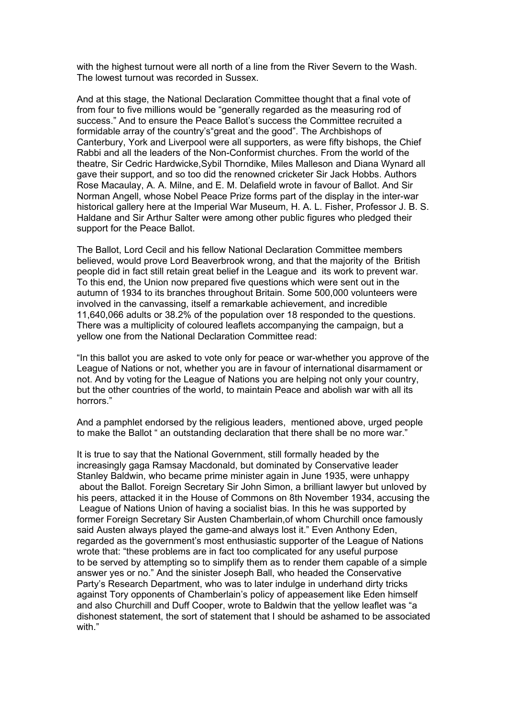with the highest turnout were all north of a line from the River Severn to the Wash. The lowest turnout was recorded in Sussex.

And at this stage, the National Declaration Committee thought that a final vote of from four to five millions would be "generally regarded as the measuring rod of success." And to ensure the Peace Ballot's success the Committee recruited a formidable array of the country's"great and the good". The Archbishops of Canterbury, York and Liverpool were all supporters, as were fifty bishops, the Chief Rabbi and all the leaders of the Non-Conformist churches. From the world of the theatre, Sir Cedric Hardwicke,Sybil Thorndike, Miles Malleson and Diana Wynard all gave their support, and so too did the renowned cricketer Sir Jack Hobbs. Authors Rose Macaulay, A. A. Milne, and E. M. Delafield wrote in favour of Ballot. And Sir Norman Angell, whose Nobel Peace Prize forms part of the display in the inter-war historical gallery here at the Imperial War Museum, H. A. L. Fisher, Professor J. B. S. Haldane and Sir Arthur Salter were among other public figures who pledged their support for the Peace Ballot.

The Ballot, Lord Cecil and his fellow National Declaration Committee members believed, would prove Lord Beaverbrook wrong, and that the majority of the British people did in fact still retain great belief in the League and its work to prevent war. To this end, the Union now prepared five questions which were sent out in the autumn of 1934 to its branches throughout Britain. Some 500,000 volunteers were involved in the canvassing, itself a remarkable achievement, and incredible 11,640,066 adults or 38.2% of the population over 18 responded to the questions. There was a multiplicity of coloured leaflets accompanying the campaign, but a yellow one from the National Declaration Committee read:

"In this ballot you are asked to vote only for peace or war-whether you approve of the League of Nations or not, whether you are in favour of international disarmament or not. And by voting for the League of Nations you are helping not only your country, but the other countries of the world, to maintain Peace and abolish war with all its horrors."

And a pamphlet endorsed by the religious leaders, mentioned above, urged people to make the Ballot " an outstanding declaration that there shall be no more war."

It is true to say that the National Government, still formally headed by the increasingly gaga Ramsay Macdonald, but dominated by Conservative leader Stanley Baldwin, who became prime minister again in June 1935, were unhappy about the Ballot. Foreign Secretary Sir John Simon, a brilliant lawyer but unloved by his peers, attacked it in the House of Commons on 8th November 1934, accusing the League of Nations Union of having a socialist bias. In this he was supported by former Foreign Secretary Sir Austen Chamberlain,of whom Churchill once famously said Austen always played the game-and always lost it." Even Anthony Eden, regarded as the government's most enthusiastic supporter of the League of Nations wrote that: "these problems are in fact too complicated for any useful purpose to be served by attempting so to simplify them as to render them capable of a simple answer yes or no." And the sinister Joseph Ball, who headed the Conservative Party's Research Department, who was to later indulge in underhand dirty tricks against Tory opponents of Chamberlain's policy of appeasement like Eden himself and also Churchill and Duff Cooper, wrote to Baldwin that the yellow leaflet was "a dishonest statement, the sort of statement that I should be ashamed to be associated with "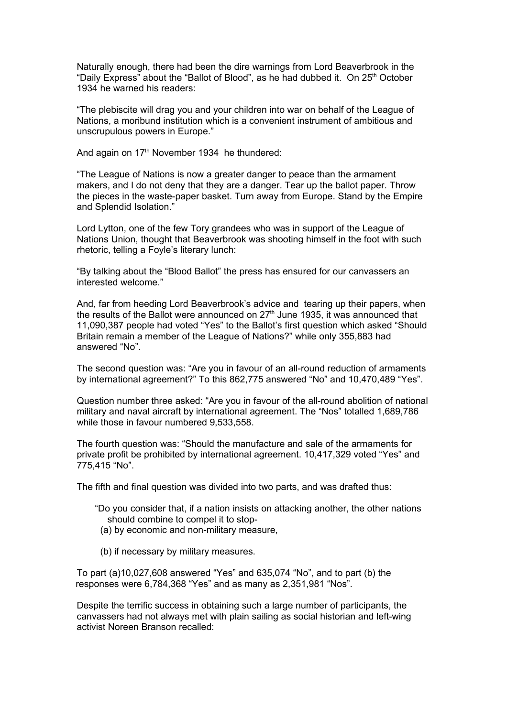Naturally enough, there had been the dire warnings from Lord Beaverbrook in the "Daily Express" about the "Ballot of Blood", as he had dubbed it. On 25<sup>th</sup> October 1934 he warned his readers:

"The plebiscite will drag you and your children into war on behalf of the League of Nations, a moribund institution which is a convenient instrument of ambitious and unscrupulous powers in Europe."

And again on 17<sup>th</sup> November 1934 he thundered:

"The League of Nations is now a greater danger to peace than the armament makers, and I do not deny that they are a danger. Tear up the ballot paper. Throw the pieces in the waste-paper basket. Turn away from Europe. Stand by the Empire and Splendid Isolation."

Lord Lytton, one of the few Tory grandees who was in support of the League of Nations Union, thought that Beaverbrook was shooting himself in the foot with such rhetoric, telling a Foyle's literary lunch:

"By talking about the "Blood Ballot" the press has ensured for our canvassers an interested welcome."

And, far from heeding Lord Beaverbrook's advice and tearing up their papers, when the results of the Ballot were announced on  $27<sup>th</sup>$  June 1935, it was announced that 11,090,387 people had voted "Yes" to the Ballot's first question which asked "Should Britain remain a member of the League of Nations?" while only 355,883 had answered "No".

The second question was: "Are you in favour of an all-round reduction of armaments by international agreement?" To this 862,775 answered "No" and 10,470,489 "Yes".

Question number three asked: "Are you in favour of the all-round abolition of national military and naval aircraft by international agreement. The "Nos" totalled 1,689,786 while those in favour numbered 9,533,558.

The fourth question was: "Should the manufacture and sale of the armaments for private profit be prohibited by international agreement. 10,417,329 voted "Yes" and 775,415 "No".

The fifth and final question was divided into two parts, and was drafted thus:

- "Do you consider that, if a nation insists on attacking another, the other nations should combine to compel it to stop-
	- (a) by economic and non-military measure,
	- (b) if necessary by military measures.

To part (a)10,027,608 answered "Yes" and 635,074 "No", and to part (b) the responses were 6,784,368 "Yes" and as many as 2,351,981 "Nos".

Despite the terrific success in obtaining such a large number of participants, the canvassers had not always met with plain sailing as social historian and left-wing activist Noreen Branson recalled: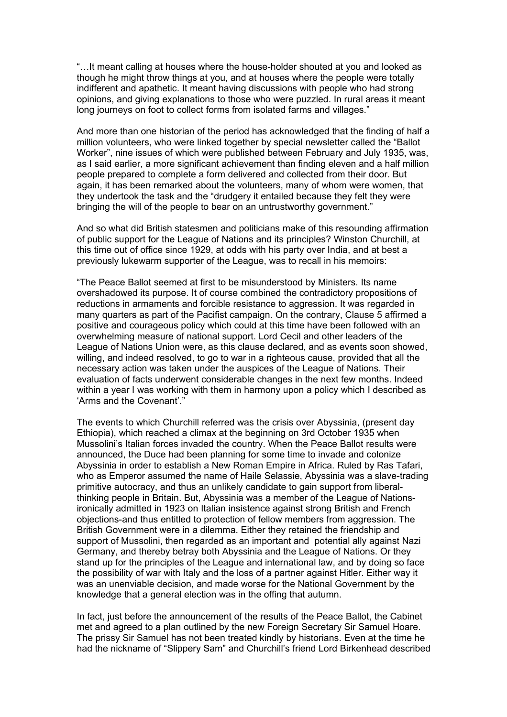"…It meant calling at houses where the house-holder shouted at you and looked as though he might throw things at you, and at houses where the people were totally indifferent and apathetic. It meant having discussions with people who had strong opinions, and giving explanations to those who were puzzled. In rural areas it meant long journeys on foot to collect forms from isolated farms and villages."

And more than one historian of the period has acknowledged that the finding of half a million volunteers, who were linked together by special newsletter called the "Ballot Worker", nine issues of which were published between February and July 1935, was, as I said earlier, a more significant achievement than finding eleven and a half million people prepared to complete a form delivered and collected from their door. But again, it has been remarked about the volunteers, many of whom were women, that they undertook the task and the "drudgery it entailed because they felt they were bringing the will of the people to bear on an untrustworthy government."

And so what did British statesmen and politicians make of this resounding affirmation of public support for the League of Nations and its principles? Winston Churchill, at this time out of office since 1929, at odds with his party over India, and at best a previously lukewarm supporter of the League, was to recall in his memoirs:

"The Peace Ballot seemed at first to be misunderstood by Ministers. Its name overshadowed its purpose. It of course combined the contradictory propositions of reductions in armaments and forcible resistance to aggression. It was regarded in many quarters as part of the Pacifist campaign. On the contrary, Clause 5 affirmed a positive and courageous policy which could at this time have been followed with an overwhelming measure of national support. Lord Cecil and other leaders of the League of Nations Union were, as this clause declared, and as events soon showed, willing, and indeed resolved, to go to war in a righteous cause, provided that all the necessary action was taken under the auspices of the League of Nations. Their evaluation of facts underwent considerable changes in the next few months. Indeed within a year I was working with them in harmony upon a policy which I described as 'Arms and the Covenant'."

The events to which Churchill referred was the crisis over Abyssinia, (present day Ethiopia), which reached a climax at the beginning on 3rd October 1935 when Mussolini's Italian forces invaded the country. When the Peace Ballot results were announced, the Duce had been planning for some time to invade and colonize Abyssinia in order to establish a New Roman Empire in Africa. Ruled by Ras Tafari, who as Emperor assumed the name of Haile Selassie, Abyssinia was a slave-trading primitive autocracy, and thus an unlikely candidate to gain support from liberalthinking people in Britain. But, Abyssinia was a member of the League of Nationsironically admitted in 1923 on Italian insistence against strong British and French objections-and thus entitled to protection of fellow members from aggression. The British Government were in a dilemma. Either they retained the friendship and support of Mussolini, then regarded as an important and potential ally against Nazi Germany, and thereby betray both Abyssinia and the League of Nations. Or they stand up for the principles of the League and international law, and by doing so face the possibility of war with Italy and the loss of a partner against Hitler. Either way it was an unenviable decision, and made worse for the National Government by the knowledge that a general election was in the offing that autumn.

In fact, just before the announcement of the results of the Peace Ballot, the Cabinet met and agreed to a plan outlined by the new Foreign Secretary Sir Samuel Hoare. The prissy Sir Samuel has not been treated kindly by historians. Even at the time he had the nickname of "Slippery Sam" and Churchill's friend Lord Birkenhead described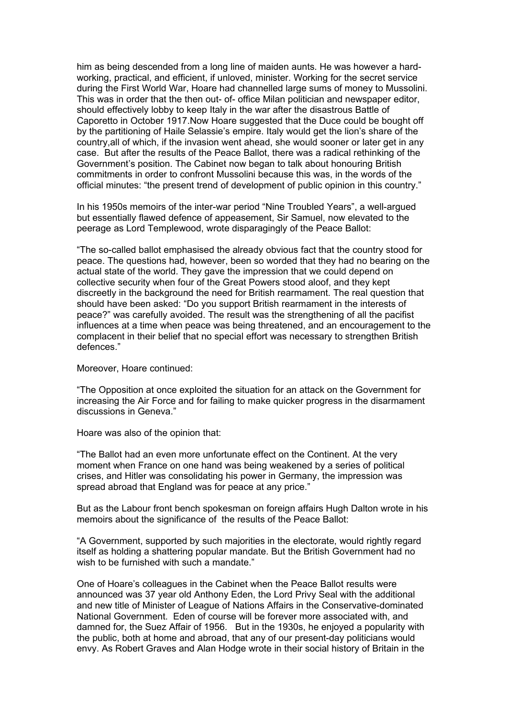him as being descended from a long line of maiden aunts. He was however a hardworking, practical, and efficient, if unloved, minister. Working for the secret service during the First World War, Hoare had channelled large sums of money to Mussolini. This was in order that the then out- of- office Milan politician and newspaper editor, should effectively lobby to keep Italy in the war after the disastrous Battle of Caporetto in October 1917.Now Hoare suggested that the Duce could be bought off by the partitioning of Haile Selassie's empire. Italy would get the lion's share of the country,all of which, if the invasion went ahead, she would sooner or later get in any case. But after the results of the Peace Ballot, there was a radical rethinking of the Government's position. The Cabinet now began to talk about honouring British commitments in order to confront Mussolini because this was, in the words of the official minutes: "the present trend of development of public opinion in this country."

In his 1950s memoirs of the inter-war period "Nine Troubled Years", a well-argued but essentially flawed defence of appeasement, Sir Samuel, now elevated to the peerage as Lord Templewood, wrote disparagingly of the Peace Ballot:

"The so-called ballot emphasised the already obvious fact that the country stood for peace. The questions had, however, been so worded that they had no bearing on the actual state of the world. They gave the impression that we could depend on collective security when four of the Great Powers stood aloof, and they kept discreetly in the background the need for British rearmament. The real question that should have been asked: "Do you support British rearmament in the interests of peace?" was carefully avoided. The result was the strengthening of all the pacifist influences at a time when peace was being threatened, and an encouragement to the complacent in their belief that no special effort was necessary to strengthen British defences."

Moreover, Hoare continued:

"The Opposition at once exploited the situation for an attack on the Government for increasing the Air Force and for failing to make quicker progress in the disarmament discussions in Geneva."

Hoare was also of the opinion that:

"The Ballot had an even more unfortunate effect on the Continent. At the very moment when France on one hand was being weakened by a series of political crises, and Hitler was consolidating his power in Germany, the impression was spread abroad that England was for peace at any price."

But as the Labour front bench spokesman on foreign affairs Hugh Dalton wrote in his memoirs about the significance of the results of the Peace Ballot:

"A Government, supported by such majorities in the electorate, would rightly regard itself as holding a shattering popular mandate. But the British Government had no wish to be furnished with such a mandate."

One of Hoare's colleagues in the Cabinet when the Peace Ballot results were announced was 37 year old Anthony Eden, the Lord Privy Seal with the additional and new title of Minister of League of Nations Affairs in the Conservative-dominated National Government. Eden of course will be forever more associated with, and damned for, the Suez Affair of 1956. But in the 1930s, he enjoyed a popularity with the public, both at home and abroad, that any of our present-day politicians would envy. As Robert Graves and Alan Hodge wrote in their social history of Britain in the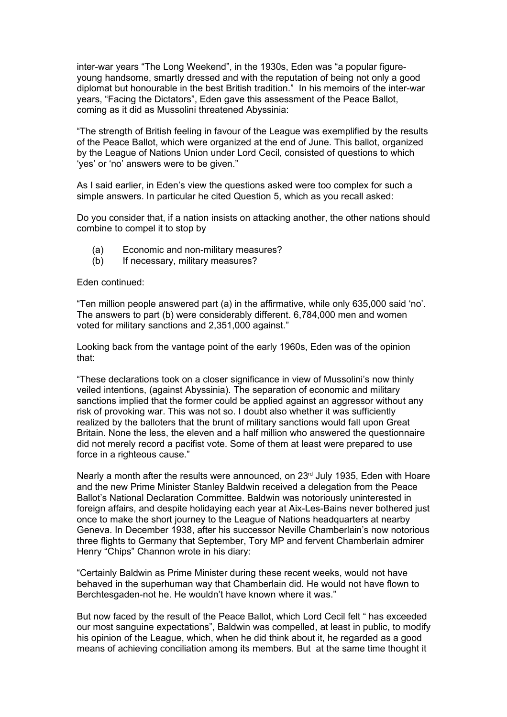inter-war years "The Long Weekend", in the 1930s, Eden was "a popular figureyoung handsome, smartly dressed and with the reputation of being not only a good diplomat but honourable in the best British tradition." In his memoirs of the inter-war years, "Facing the Dictators", Eden gave this assessment of the Peace Ballot, coming as it did as Mussolini threatened Abyssinia:

"The strength of British feeling in favour of the League was exemplified by the results of the Peace Ballot, which were organized at the end of June. This ballot, organized by the League of Nations Union under Lord Cecil, consisted of questions to which 'yes' or 'no' answers were to be given."

As I said earlier, in Eden's view the questions asked were too complex for such a simple answers. In particular he cited Question 5, which as you recall asked:

Do you consider that, if a nation insists on attacking another, the other nations should combine to compel it to stop by

- (a) Economic and non-military measures?
- (b) If necessary, military measures?

Eden continued:

"Ten million people answered part (a) in the affirmative, while only 635,000 said 'no'. The answers to part (b) were considerably different. 6,784,000 men and women voted for military sanctions and 2,351,000 against."

Looking back from the vantage point of the early 1960s, Eden was of the opinion that:

"These declarations took on a closer significance in view of Mussolini's now thinly veiled intentions, (against Abyssinia). The separation of economic and military sanctions implied that the former could be applied against an aggressor without any risk of provoking war. This was not so. I doubt also whether it was sufficiently realized by the balloters that the brunt of military sanctions would fall upon Great Britain. None the less, the eleven and a half million who answered the questionnaire did not merely record a pacifist vote. Some of them at least were prepared to use force in a righteous cause."

Nearly a month after the results were announced, on  $23<sup>rd</sup>$  July 1935, Eden with Hoare and the new Prime Minister Stanley Baldwin received a delegation from the Peace Ballot's National Declaration Committee. Baldwin was notoriously uninterested in foreign affairs, and despite holidaying each year at Aix-Les-Bains never bothered just once to make the short journey to the League of Nations headquarters at nearby Geneva. In December 1938, after his successor Neville Chamberlain's now notorious three flights to Germany that September, Tory MP and fervent Chamberlain admirer Henry "Chips" Channon wrote in his diary:

"Certainly Baldwin as Prime Minister during these recent weeks, would not have behaved in the superhuman way that Chamberlain did. He would not have flown to Berchtesgaden-not he. He wouldn't have known where it was."

But now faced by the result of the Peace Ballot, which Lord Cecil felt " has exceeded our most sanguine expectations", Baldwin was compelled, at least in public, to modify his opinion of the League, which, when he did think about it, he regarded as a good means of achieving conciliation among its members. But at the same time thought it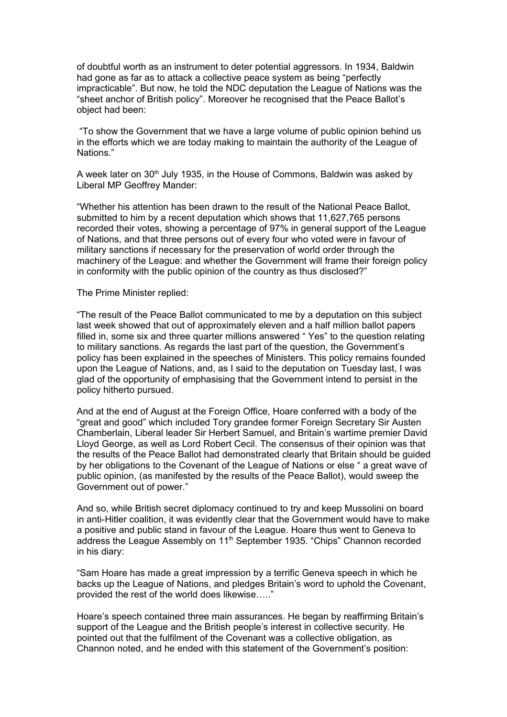of doubtful worth as an instrument to deter potential aggressors. In 1934, Baldwin had gone as far as to attack a collective peace system as being "perfectly impracticable". But now, he told the NDC deputation the League of Nations was the "sheet anchor of British policy". Moreover he recognised that the Peace Ballot's object had been:

 "To show the Government that we have a large volume of public opinion behind us in the efforts which we are today making to maintain the authority of the League of Nations."

A week later on 30<sup>th</sup> July 1935, in the House of Commons, Baldwin was asked by Liberal MP Geoffrey Mander:

"Whether his attention has been drawn to the result of the National Peace Ballot, submitted to him by a recent deputation which shows that 11,627,765 persons recorded their votes, showing a percentage of 97% in general support of the League of Nations, and that three persons out of every four who voted were in favour of military sanctions if necessary for the preservation of world order through the machinery of the League: and whether the Government will frame their foreign policy in conformity with the public opinion of the country as thus disclosed?"

The Prime Minister replied:

"The result of the Peace Ballot communicated to me by a deputation on this subject last week showed that out of approximately eleven and a half million ballot papers filled in, some six and three quarter millions answered " Yes" to the question relating to military sanctions. As regards the last part of the question, the Government's policy has been explained in the speeches of Ministers. This policy remains founded upon the League of Nations, and, as I said to the deputation on Tuesday last, I was glad of the opportunity of emphasising that the Government intend to persist in the policy hitherto pursued.

And at the end of August at the Foreign Office, Hoare conferred with a body of the "great and good" which included Tory grandee former Foreign Secretary Sir Austen Chamberlain, Liberal leader Sir Herbert Samuel, and Britain's wartime premier David Lloyd George, as well as Lord Robert Cecil. The consensus of their opinion was that the results of the Peace Ballot had demonstrated clearly that Britain should be guided by her obligations to the Covenant of the League of Nations or else " a great wave of public opinion, (as manifested by the results of the Peace Ballot), would sweep the Government out of power."

And so, while British secret diplomacy continued to try and keep Mussolini on board in anti-Hitler coalition, it was evidently clear that the Government would have to make a positive and public stand in favour of the League. Hoare thus went to Geneva to address the League Assembly on 11<sup>th</sup> September 1935. "Chips" Channon recorded in his diary:

"Sam Hoare has made a great impression by a terrific Geneva speech in which he backs up the League of Nations, and pledges Britain's word to uphold the Covenant, provided the rest of the world does likewise….."

Hoare's speech contained three main assurances. He began by reaffirming Britain's support of the League and the British people's interest in collective security. He pointed out that the fulfilment of the Covenant was a collective obligation, as Channon noted, and he ended with this statement of the Government's position: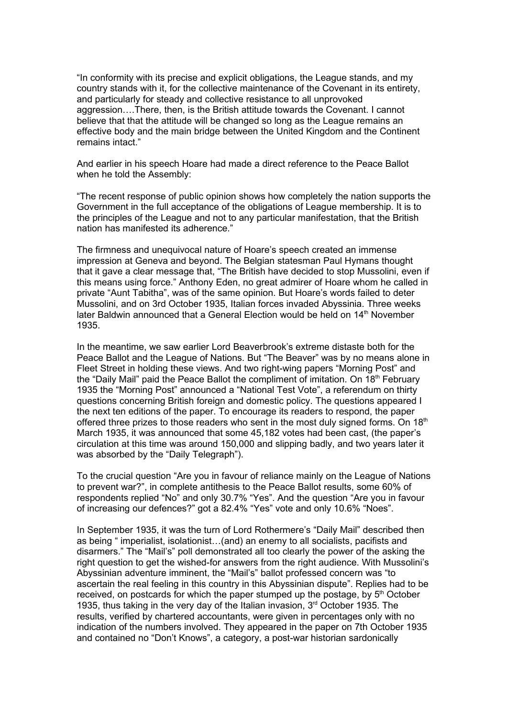"In conformity with its precise and explicit obligations, the League stands, and my country stands with it, for the collective maintenance of the Covenant in its entirety, and particularly for steady and collective resistance to all unprovoked aggression….There, then, is the British attitude towards the Covenant. I cannot believe that that the attitude will be changed so long as the League remains an effective body and the main bridge between the United Kingdom and the Continent remains intact."

And earlier in his speech Hoare had made a direct reference to the Peace Ballot when he told the Assembly:

"The recent response of public opinion shows how completely the nation supports the Government in the full acceptance of the obligations of League membership. It is to the principles of the League and not to any particular manifestation, that the British nation has manifested its adherence."

The firmness and unequivocal nature of Hoare's speech created an immense impression at Geneva and beyond. The Belgian statesman Paul Hymans thought that it gave a clear message that, "The British have decided to stop Mussolini, even if this means using force." Anthony Eden, no great admirer of Hoare whom he called in private "Aunt Tabitha", was of the same opinion. But Hoare's words failed to deter Mussolini, and on 3rd October 1935, Italian forces invaded Abyssinia. Three weeks later Baldwin announced that a General Election would be held on 14<sup>th</sup> November 1935.

In the meantime, we saw earlier Lord Beaverbrook's extreme distaste both for the Peace Ballot and the League of Nations. But "The Beaver" was by no means alone in Fleet Street in holding these views. And two right-wing papers "Morning Post" and the "Daily Mail" paid the Peace Ballot the compliment of imitation. On  $18<sup>th</sup>$  February 1935 the "Morning Post" announced a "National Test Vote", a referendum on thirty questions concerning British foreign and domestic policy. The questions appeared I the next ten editions of the paper. To encourage its readers to respond, the paper offered three prizes to those readers who sent in the most duly signed forms. On  $18<sup>th</sup>$ March 1935, it was announced that some 45,182 votes had been cast, (the paper's circulation at this time was around 150,000 and slipping badly, and two years later it was absorbed by the "Daily Telegraph").

To the crucial question "Are you in favour of reliance mainly on the League of Nations to prevent war?", in complete antithesis to the Peace Ballot results, some 60% of respondents replied "No" and only 30.7% "Yes". And the question "Are you in favour of increasing our defences?" got a 82.4% "Yes" vote and only 10.6% "Noes".

In September 1935, it was the turn of Lord Rothermere's "Daily Mail" described then as being " imperialist, isolationist…(and) an enemy to all socialists, pacifists and disarmers." The "Mail's" poll demonstrated all too clearly the power of the asking the right question to get the wished-for answers from the right audience. With Mussolini's Abyssinian adventure imminent, the "Mail's" ballot professed concern was "to ascertain the real feeling in this country in this Abyssinian dispute". Replies had to be received, on postcards for which the paper stumped up the postage, by  $5<sup>th</sup>$  October 1935, thus taking in the very day of the Italian invasion, 3<sup>rd</sup> October 1935. The results, verified by chartered accountants, were given in percentages only with no indication of the numbers involved. They appeared in the paper on 7th October 1935 and contained no "Don't Knows", a category, a post-war historian sardonically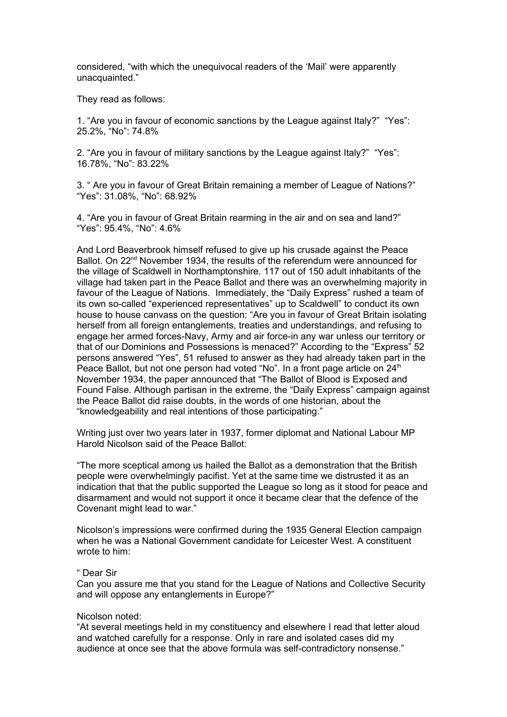considered, "with which the unequivocal readers of the 'Mail' were apparently unacquainted."

They read as follows:

1. "Are you in favour of economic sanctions by the League against Italy?" "Yes": 25.2%, "No": 74.8%

2. "Are you in favour of military sanctions by the League against Italy?" "Yes": 16.78%, "No": 83.22%

3. " Are you in favour of Great Britain remaining a member of League of Nations?" "Yes": 31.08%, "No": 68.92%

4. "Are you in favour of Great Britain rearming in the air and on sea and land?" "Yes": 95.4%, "No": 4.6%

And Lord Beaverbrook himself refused to give up his crusade against the Peace Ballot. On  $22<sup>nd</sup>$  November 1934, the results of the referendum were announced for the village of Scaldwell in Northamptonshire. 117 out of 150 adult inhabitants of the village had taken part in the Peace Ballot and there was an overwhelming majority in favour of the League of Nations. Immediately, the "Daily Express" rushed a team of its own so-called "experienced representatives" up to Scaldwell" to conduct its own house to house canvass on the question: "Are you in favour of Great Britain isolating herself from all foreign entanglements, treaties and understandings, and refusing to engage her armed forces-Navy, Army and air force-in any war unless our territory or that of our Dominions and Possessions is menaced?" According to the "Express" 52 persons answered "Yes", 51 refused to answer as they had already taken part in the Peace Ballot, but not one person had voted "No". In a front page article on 24<sup>th</sup> November 1934, the paper announced that "The Ballot of Blood is Exposed and Found False. Although partisan in the extreme, the "Daily Express" campaign against the Peace Ballot did raise doubts, in the words of one historian, about the "knowledgeability and real intentions of those participating."

Writing just over two years later in 1937, former diplomat and National Labour MP Harold Nicolson said of the Peace Ballot:

"The more sceptical among us hailed the Ballot as a demonstration that the British people were overwhelmingly pacifist. Yet at the same time we distrusted it as an indication that that the public supported the League so long as it stood for peace and disarmament and would not support it once it became clear that the defence of the Covenant might lead to war."

Nicolson's impressions were confirmed during the 1935 General Election campaign when he was a National Government candidate for Leicester West. A constituent wrote to him:

## " Dear Sir

Can you assure me that you stand for the League of Nations and Collective Security and will oppose any entanglements in Europe?"

## Nicolson noted:

"At several meetings held in my constituency and elsewhere I read that letter aloud and watched carefully for a response. Only in rare and isolated cases did my audience at once see that the above formula was self-contradictory nonsense."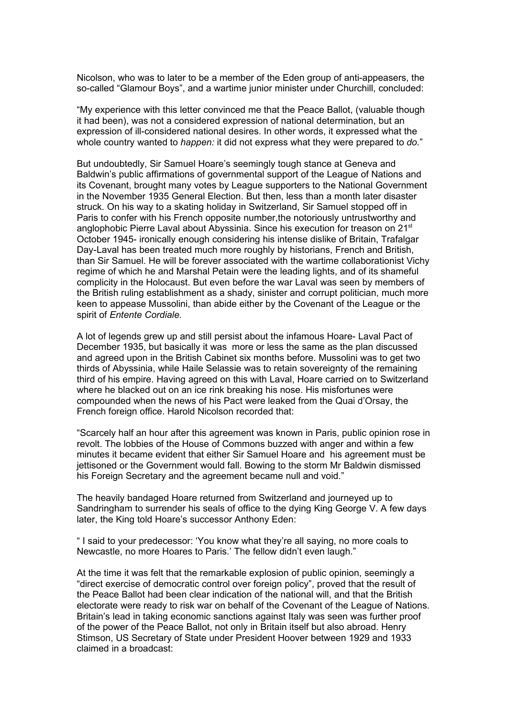Nicolson, who was to later to be a member of the Eden group of anti-appeasers, the so-called "Glamour Boys", and a wartime junior minister under Churchill, concluded:

"My experience with this letter convinced me that the Peace Ballot, (valuable though it had been), was not a considered expression of national determination, but an expression of ill-considered national desires. In other words, it expressed what the whole country wanted to *happen:* it did not express what they were prepared to *do.*"

But undoubtedly, Sir Samuel Hoare's seemingly tough stance at Geneva and Baldwin's public affirmations of governmental support of the League of Nations and its Covenant, brought many votes by League supporters to the National Government in the November 1935 General Election. But then, less than a month later disaster struck. On his way to a skating holiday in Switzerland, Sir Samuel stopped off in Paris to confer with his French opposite number,the notoriously untrustworthy and anglophobic Pierre Laval about Abyssinia. Since his execution for treason on 21<sup>st</sup> October 1945- ironically enough considering his intense dislike of Britain, Trafalgar Day-Laval has been treated much more roughly by historians, French and British, than Sir Samuel. He will be forever associated with the wartime collaborationist Vichy regime of which he and Marshal Petain were the leading lights, and of its shameful complicity in the Holocaust. But even before the war Laval was seen by members of the British ruling establishment as a shady, sinister and corrupt politician, much more keen to appease Mussolini, than abide either by the Covenant of the League or the spirit of *Entente Cordiale.*

A lot of legends grew up and still persist about the infamous Hoare- Laval Pact of December 1935, but basically it was more or less the same as the plan discussed and agreed upon in the British Cabinet six months before. Mussolini was to get two thirds of Abyssinia, while Haile Selassie was to retain sovereignty of the remaining third of his empire. Having agreed on this with Laval, Hoare carried on to Switzerland where he blacked out on an ice rink breaking his nose. His misfortunes were compounded when the news of his Pact were leaked from the Quai d'Orsay, the French foreign office. Harold Nicolson recorded that:

"Scarcely half an hour after this agreement was known in Paris, public opinion rose in revolt. The lobbies of the House of Commons buzzed with anger and within a few minutes it became evident that either Sir Samuel Hoare and his agreement must be jettisoned or the Government would fall. Bowing to the storm Mr Baldwin dismissed his Foreign Secretary and the agreement became null and void."

The heavily bandaged Hoare returned from Switzerland and journeyed up to Sandringham to surrender his seals of office to the dying King George V. A few days later, the King told Hoare's successor Anthony Eden:

" I said to your predecessor: 'You know what they're all saying, no more coals to Newcastle, no more Hoares to Paris.' The fellow didn't even laugh."

At the time it was felt that the remarkable explosion of public opinion, seemingly a "direct exercise of democratic control over foreign policy", proved that the result of the Peace Ballot had been clear indication of the national will, and that the British electorate were ready to risk war on behalf of the Covenant of the League of Nations. Britain's lead in taking economic sanctions against Italy was seen was further proof of the power of the Peace Ballot, not only in Britain itself but also abroad. Henry Stimson, US Secretary of State under President Hoover between 1929 and 1933 claimed in a broadcast: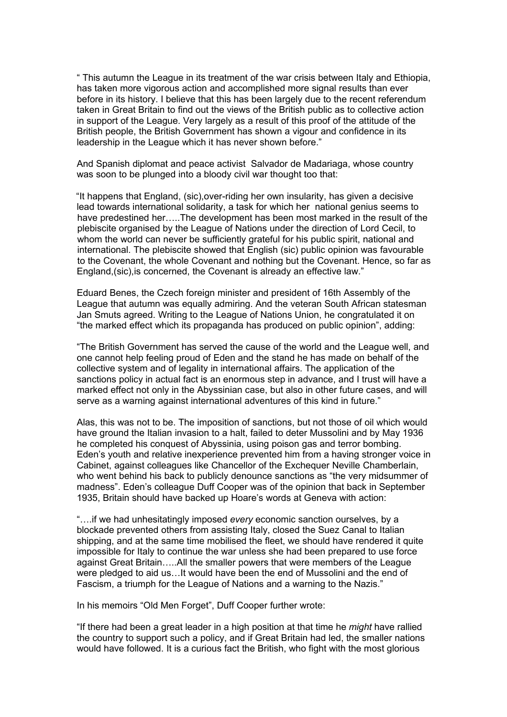" This autumn the League in its treatment of the war crisis between Italy and Ethiopia, has taken more vigorous action and accomplished more signal results than ever before in its history. I believe that this has been largely due to the recent referendum taken in Great Britain to find out the views of the British public as to collective action in support of the League. Very largely as a result of this proof of the attitude of the British people, the British Government has shown a vigour and confidence in its leadership in the League which it has never shown before."

And Spanish diplomat and peace activist Salvador de Madariaga, whose country was soon to be plunged into a bloody civil war thought too that:

"It happens that England, (sic),over-riding her own insularity, has given a decisive lead towards international solidarity, a task for which her national genius seems to have predestined her…..The development has been most marked in the result of the plebiscite organised by the League of Nations under the direction of Lord Cecil, to whom the world can never be sufficiently grateful for his public spirit, national and international. The plebiscite showed that English (sic) public opinion was favourable to the Covenant, the whole Covenant and nothing but the Covenant. Hence, so far as England,(sic),is concerned, the Covenant is already an effective law."

Eduard Benes, the Czech foreign minister and president of 16th Assembly of the League that autumn was equally admiring. And the veteran South African statesman Jan Smuts agreed. Writing to the League of Nations Union, he congratulated it on "the marked effect which its propaganda has produced on public opinion", adding:

"The British Government has served the cause of the world and the League well, and one cannot help feeling proud of Eden and the stand he has made on behalf of the collective system and of legality in international affairs. The application of the sanctions policy in actual fact is an enormous step in advance, and I trust will have a marked effect not only in the Abyssinian case, but also in other future cases, and will serve as a warning against international adventures of this kind in future."

Alas, this was not to be. The imposition of sanctions, but not those of oil which would have ground the Italian invasion to a halt, failed to deter Mussolini and by May 1936 he completed his conquest of Abyssinia, using poison gas and terror bombing. Eden's youth and relative inexperience prevented him from a having stronger voice in Cabinet, against colleagues like Chancellor of the Exchequer Neville Chamberlain, who went behind his back to publicly denounce sanctions as "the very midsummer of madness". Eden's colleague Duff Cooper was of the opinion that back in September 1935, Britain should have backed up Hoare's words at Geneva with action:

"….if we had unhesitatingly imposed *every* economic sanction ourselves, by a blockade prevented others from assisting Italy, closed the Suez Canal to Italian shipping, and at the same time mobilised the fleet, we should have rendered it quite impossible for Italy to continue the war unless she had been prepared to use force against Great Britain…..All the smaller powers that were members of the League were pledged to aid us…It would have been the end of Mussolini and the end of Fascism, a triumph for the League of Nations and a warning to the Nazis."

In his memoirs "Old Men Forget", Duff Cooper further wrote:

"If there had been a great leader in a high position at that time he *might* have rallied the country to support such a policy, and if Great Britain had led, the smaller nations would have followed. It is a curious fact the British, who fight with the most glorious